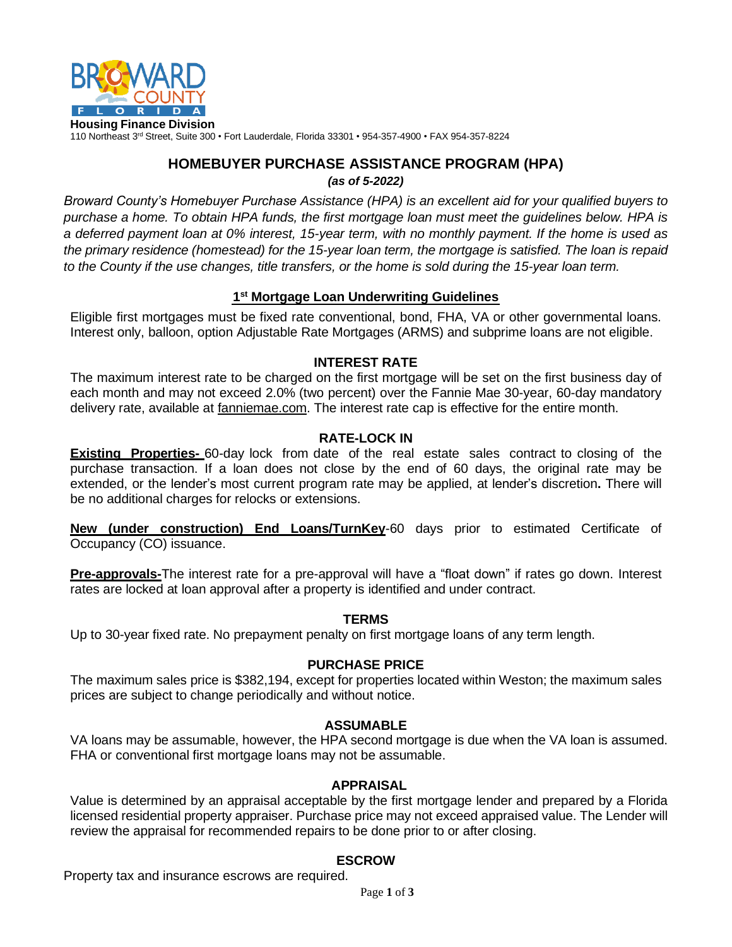

110 Northeast 3<sup>rd</sup> Street, Suite 300 • Fort Lauderdale, Florida 33301 • 954-357-4900 • FAX 954-357-8224

# **HOMEBUYER PURCHASE ASSISTANCE PROGRAM (HPA)** *(as of 5-2022)*

*Broward County's Homebuyer Purchase Assistance (HPA) is an excellent aid for your qualified buyers to purchase a home. To obtain HPA funds, the first mortgage loan must meet the guidelines below. HPA is a deferred payment loan at 0% interest, 15-year term, with no monthly payment. If the home is used as the primary residence (homestead) for the 15-year loan term, the mortgage is satisfied. The loan is repaid to the County if the use changes, title transfers, or the home is sold during the 15-year loan term.*

# **1 st Mortgage Loan Underwriting Guidelines**

Eligible first mortgages must be fixed rate conventional, bond, FHA, VA or other governmental loans. Interest only, balloon, option Adjustable Rate Mortgages (ARMS) and subprime loans are not eligible.

# **INTEREST RATE**

The maximum interest rate to be charged on the first mortgage will be set on the first business day of each month and may not exceed 2.0% (two percent) over the Fannie Mae 30-year, 60-day mandatory delivery rate, available at fanniemae.com. The interest rate cap is effective for the entire month.

# **RATE-LOCK IN**

**Existing Properties-** 60-day lock from date of the real estate sales contract to closing of the purchase transaction. If a loan does not close by the end of 60 days, the original rate may be extended, or the lender's most current program rate may be applied, at lender's discretion**.** There will be no additional charges for relocks or extensions.

**New (under construction) End Loans/TurnKey**-60 days prior to estimated Certificate of Occupancy (CO) issuance.

**Pre-approvals-**The interest rate for a pre-approval will have a "float down" if rates go down. Interest rates are locked at loan approval after a property is identified and under contract.

# **TERMS**

Up to 30-year fixed rate. No prepayment penalty on first mortgage loans of any term length.

# **PURCHASE PRICE**

The maximum sales price is \$382,194, except for properties located within Weston; the maximum sales prices are subject to change periodically and without notice.

## **ASSUMABLE**

VA loans may be assumable, however, the HPA second mortgage is due when the VA loan is assumed. FHA or conventional first mortgage loans may not be assumable.

## **APPRAISAL**

Value is determined by an appraisal acceptable by the first mortgage lender and prepared by a Florida licensed residential property appraiser. Purchase price may not exceed appraised value. The Lender will review the appraisal for recommended repairs to be done prior to or after closing.

# **ESCROW**

Property tax and insurance escrows are required.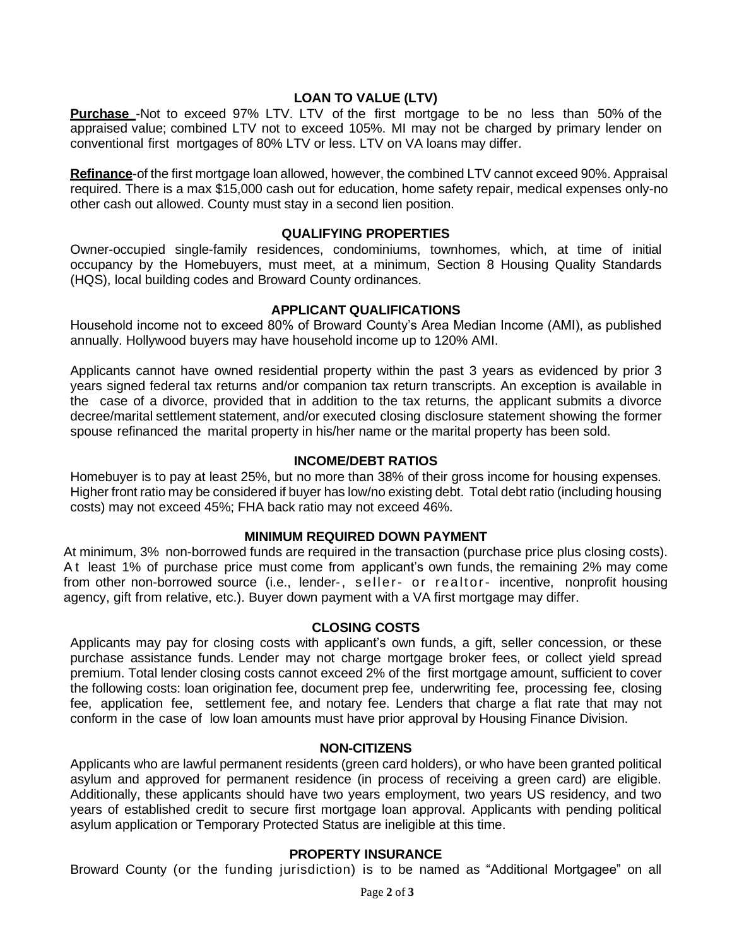# **LOAN TO VALUE (LTV)**

**Purchase** -Not to exceed 97% LTV. LTV of the first mortgage to be no less than 50% of the appraised value; combined LTV not to exceed 105%. MI may not be charged by primary lender on conventional first mortgages of 80% LTV or less. LTV on VA loans may differ.

**Refinance**-of the first mortgage loan allowed, however, the combined LTV cannot exceed 90%. Appraisal required. There is a max \$15,000 cash out for education, home safety repair, medical expenses only-no other cash out allowed. County must stay in a second lien position.

## **QUALIFYING PROPERTIES**

Owner-occupied single-family residences, condominiums, townhomes, which, at time of initial occupancy by the Homebuyers, must meet, at a minimum, Section 8 Housing Quality Standards (HQS), local building codes and Broward County ordinances.

## **APPLICANT QUALIFICATIONS**

Household income not to exceed 80% of Broward County's Area Median Income (AMI), as published annually. Hollywood buyers may have household income up to 120% AMI.

Applicants cannot have owned residential property within the past 3 years as evidenced by prior 3 years signed federal tax returns and/or companion tax return transcripts. An exception is available in the case of a divorce, provided that in addition to the tax returns, the applicant submits a divorce decree/marital settlement statement, and/or executed closing disclosure statement showing the former spouse refinanced the marital property in his/her name or the marital property has been sold.

# **INCOME/DEBT RATIOS**

Homebuyer is to pay at least 25%, but no more than 38% of their gross income for housing expenses. Higher front ratio may be considered if buyer has low/no existing debt. Total debt ratio (including housing costs) may not exceed 45%; FHA back ratio may not exceed 46%.

## **MINIMUM REQUIRED DOWN PAYMENT**

At minimum, 3% non-borrowed funds are required in the transaction (purchase price plus closing costs). A t least 1% of purchase price must come from applicant's own funds, the remaining 2% may come from other non-borrowed source (i.e., lender-, seller- or realtor- incentive, nonprofit housing agency, gift from relative, etc.). Buyer down payment with a VA first mortgage may differ.

## **CLOSING COSTS**

Applicants may pay for closing costs with applicant's own funds, a gift, seller concession, or these purchase assistance funds. Lender may not charge mortgage broker fees, or collect yield spread premium. Total lender closing costs cannot exceed 2% of the first mortgage amount, sufficient to cover the following costs: loan origination fee, document prep fee, underwriting fee, processing fee, closing fee, application fee, settlement fee, and notary fee. Lenders that charge a flat rate that may not conform in the case of low loan amounts must have prior approval by Housing Finance Division.

#### **NON-CITIZENS**

Applicants who are lawful permanent residents (green card holders), or who have been granted political asylum and approved for permanent residence (in process of receiving a green card) are eligible. Additionally, these applicants should have two years employment, two years US residency, and two years of established credit to secure first mortgage loan approval. Applicants with pending political asylum application or Temporary Protected Status are ineligible at this time.

## **PROPERTY INSURANCE**

Broward County (or the funding jurisdiction) is to be named as "Additional Mortgagee" on all